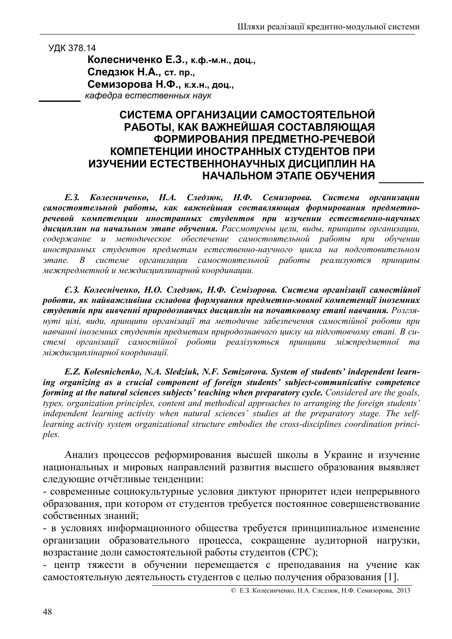УДК 378.14

Колесниченко Е.З., к.ф.-м.н., доц., Следзюк Н.А., ст. пр., Семизорова Н.Ф., к.х.н., доц., кафедра естественных наук

## СИСТЕМА ОРГАНИЗАЦИИ САМОСТОЯТЕЛЬНОЙ РАБОТЫ, КАК ВАЖНЕЙШАЯ СОСТАВЛЯЮЩАЯ ФОРМИРОВАНИЯ ПРЕДМЕТНО-РЕЧЕВОЙ КОМПЕТЕНЦИИ ИНОСТРАННЫХ СТУДЕНТОВ ПРИ ИЗУЧЕНИИ ЕСТЕСТВЕННОНАУЧНЫХ ДИСЦИПЛИН НА НАЧАЛЬНОМ ЭТАПЕ ОБУЧЕНИЯ

Колесниченко, Н.А. Следзюк, Н.Ф. Семизорова. Система организации  $E.3.$ самостоятельной работы, как важнейшая составляющая формирования предметноречевой компетенции иностранных студентов при изучении естественно-научных дисииплин на начальном этапе обучения. Рассмотрены иели, виды, принициы организации, содержание и методическое обеспечение самостоятельной работы при обучении иностранных студентов предметам естественно-научного цикла на подготовительном этапе. В системе организации самостоятельной работы реализуются принципы межпредметной и междисциплинарной координации.

Е.3. Колесніченко, Н.О. Следзюк, Н.Ф. Семізорова. Система організації самостійної роботи, як найважливіша складова формування предметно-мовної компетенції іноземних студентів при вивченні природознавчих дисциплін на початковому етапі навчання. Розглянуті цілі, види, приницпи організації та методичне забезпечення самостійної роботи при навчанні іноземних студентів предметам природознавчого шиклу на підготовчому етапі. В системі організації самостійної роботи реалізуються принципи міжпредметної та міждисциплінарної координації.

E.Z. Kolesnichenko, N.A. Sledziuk, N.F. Semizorova. System of students' independent learning organizing as a crucial component of foreign students' subject-communicative competence forming at the natural sciences subjects' teaching when preparatory cycle. Considered are the goals, types, organization principles, content and methodical approaches to arranging the foreign students' independent learning activity when natural sciences' studies at the preparatory stage. The selflearning activity system organizational structure embodies the cross-disciplines coordination principles.

Анализ процессов реформирования высшей школы в Украине и изучение национальных и мировых направлений развития высшего образования выявляет следующие отчётливые тенденции:

- современные социокультурные условия диктуют приоритет идеи непрерывного образования, при котором от студентов требуется постоянное совершенствование собственных знаний:

- в условиях информационного общества требуется принципиальное изменение организации образовательного процесса, сокращение аудиторной нагрузки, возрастание доли самостоятельной работы студентов (СРС);

- центр тяжести в обучении перемещается с преподавания на учение как самостоятельную деятельность студентов с целью получения образования [1].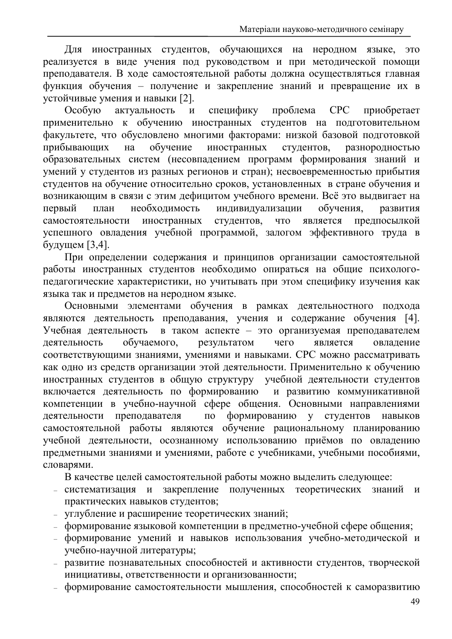Для иностранных студентов, обучающихся на неродном языке, это реализуется в виде учения под руководством и при методической помощи преподавателя. В ходе самостоятельной работы должна осуществляться главная функция обучения - получение и закрепление знаний и превращение их в устойчивые умения и навыки [2].

Особую актуальность специфику проблема **CPC**  $\mathbf{M}$ приобретает применительно к обучению иностранных студентов на подготовительном факультете, что обусловлено многими факторами: низкой базовой подготовкой на обучение иностранных студентов, прибывающих разнородностью образовательных систем (несовпадением программ формирования знаний и умений у студентов из разных регионов и стран); несвоевременностью прибытия студентов на обучение относительно сроков, установленных в стране обучения и возникающим в связи с этим дефицитом учебного времени. Всё это выдвигает на первый необходимость индивидуализации обучения, план развития является предпосылкой самостоятельности иностранных студентов, ЧTO успешного овладения учебной программой, залогом эффективного труда в будущем [3,4].

При определении содержания и принципов организации самостоятельной работы иностранных студентов необходимо опираться на общие психологопедагогические характеристики, но учитывать при этом специфику изучения как языка так и предметов на неродном языке.

Основными элементами обучения в рамках деятельностного подхода являются деятельность преподавания, учения и содержание обучения [4]. Учебная деятельность в таком аспекте - это организуемая преподавателем обучаемого. результатом чего деятельность является овладение соответствующими знаниями, умениями и навыками. СРС можно рассматривать как одно из средств организации этой деятельности. Применительно к обучению иностранных студентов в общую структуру учебной деятельности студентов включается деятельность по формированию и развитию коммуникативной компетенции в учебно-научной сфере общения. Основными направлениями деятельности преподавателя по формированию у студентов навыков самостоятельной работы являются обучение рациональному планированию учебной деятельности, осознанному использованию приёмов по овладению предметными знаниями и умениями, работе с учебниками, учебными пособиями, словарями.

В качестве целей самостоятельной работы можно выделить следующее:

- систематизация и закрепление полученных теоретических знаний  $\mathbf{M}$ практических навыков студентов;
- углубление и расширение теоретических знаний;
- формирование языковой компетенции в предметно-учебной сфере общения;
- формирование умений и навыков использования учебно-методической и учебно-научной литературы;
- развитие познавательных способностей и активности студентов, творческой инициативы, ответственности и организованности;
- формирование самостоятельности мышления, способностей к саморазвитию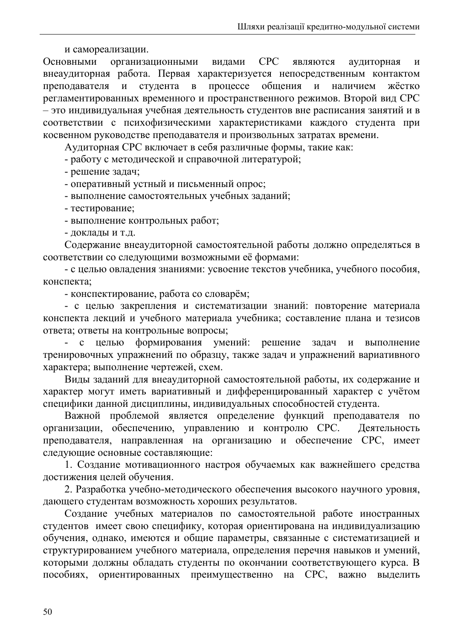и самореализации.

**CPC** организационными Основными видами являются аудиторная  $\overline{\mathbf{M}}$ внеаудиторная работа. Первая характеризуется непосредственным контактом студента  $\bf{B}$ процессе общения наличием преподавателя  $\mathbf{M}$  $\overline{M}$ жёстко регламентированных временного и пространственного режимов. Второй вид СРС - это индивидуальная учебная деятельность студентов вне расписания занятий и в соответствии с психофизическими характеристиками каждого студента при косвенном руководстве преподавателя и произвольных затратах времени.

Аудиторная СРС включает в себя различные формы, такие как:

- работу с методической и справочной литературой;

- решение задач;

- оперативный устный и письменный опрос;

- выполнение самостоятельных учебных заданий;

- тестирование;

- выполнение контрольных работ;

- доклады и т.д.

Содержание внеаудиторной самостоятельной работы должно определяться в соответствии со следующими возможными её формами:

- с целью овладения знаниями: усвоение текстов учебника, учебного пособия, конспекта:

- конспектирование, работа со словарём;

- с целью закрепления и систематизации знаний: повторение материала конспекта лекций и учебного материала учебника; составление плана и тезисов ответа; ответы на контрольные вопросы;

решение целью формирования умений:  $\omega_{\rm{eff}}$  $\mathbf{c}$ задач  $\mathbf{M}$ выполнение тренировочных упражнений по образцу, также задач и упражнений вариативного характера; выполнение чертежей, схем.

Виды заданий для внеаудиторной самостоятельной работы, их содержание и характер могут иметь вариативный и дифференцированный характер с учётом специфики данной дисциплины, индивидуальных способностей студента.

Важной проблемой является определение функций преподавателя по организации, обеспечению, управлению и контролю СРС. Деятельность преподавателя, направленная на организацию и обеспечение СРС, имеет следующие основные составляющие:

1. Создание мотивационного настроя обучаемых как важнейшего средства достижения целей обучения.

2. Разработка учебно-методического обеспечения высокого научного уровня, дающего студентам возможность хороших результатов.

Создание учебных материалов по самостоятельной работе иностранных студентов имеет свою специфику, которая ориентирована на индивидуализацию обучения, однако, имеются и общие параметры, связанные с систематизацией и структурированием учебного материала, определения перечня навыков и умений, которыми должны обладать студенты по окончании соответствующего курса. В ориентированных преимущественно на СРС, пособиях. важно выделить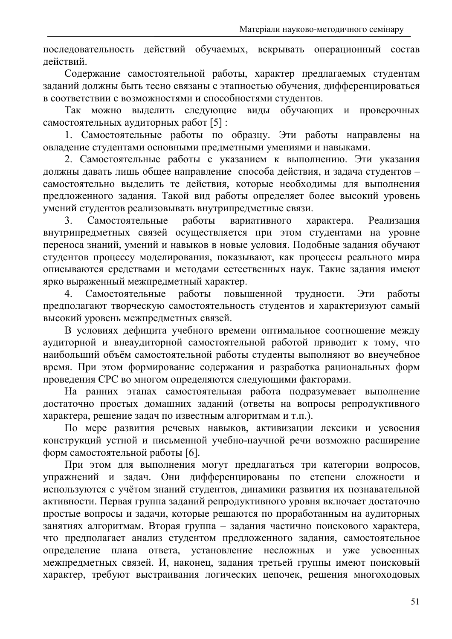последовательность действий обучаемых, вскрывать операционный состав действий.

Содержание самостоятельной работы, характер предлагаемых студентам заданий должны быть тесно связаны с этапностью обучения, дифференцироваться в соответствии с возможностями и способностями студентов.

Так можно выделить следующие виды обучающих и проверочных самостоятельных аудиторных работ [5]:

1. Самостоятельные работы по образцу. Эти работы направлены на овладение студентами основными предметными умениями и навыками.

2. Самостоятельные работы с указанием к выполнению. Эти указания должны давать лишь общее направление способа действия, и задача студентов самостоятельно выделить те действия, которые необходимы для выполнения предложенного задания. Такой вид работы определяет более высокий уровень умений студентов реализовывать внутрипредметные связи.

Самостоятельные работы вариативного характера.  $3<sub>1</sub>$ Реализация внутрипредметных связей осуществляется при этом студентами на уровне переноса знаний, умений и навыков в новые условия. Подобные задания обучают студентов процессу моделирования, показывают, как процессы реального мира описываются средствами и методами естественных наук. Такие задания имеют ярко выраженный межпредметный характер.

Самостоятельные  $\overline{4}$ . работы повышенной трудности. работы Эти предполагают творческую самостоятельность студентов и характеризуют самый высокий уровень межпредметных связей.

В условиях дефицита учебного времени оптимальное соотношение между аудиторной и внеаудиторной самостоятельной работой приводит к тому, что наибольший объём самостоятельной работы студенты выполняют во внеучебное время. При этом формирование содержания и разработка рациональных форм проведения СРС во многом определяются следующими факторами.

На ранних этапах самостоятельная работа подразумевает выполнение достаточно простых домашних заданий (ответы на вопросы репродуктивного характера, решение задач по известным алгоритмам и т.п.).

По мере развития речевых навыков, активизации лексики и усвоения конструкций устной и письменной учебно-научной речи возможно расширение форм самостоятельной работы [6].

При этом для выполнения могут предлагаться три категории вопросов, упражнений и задач. Они дифференцированы по степени сложности и используются с учётом знаний студентов, динамики развития их познавательной активности. Первая группа заданий репродуктивного уровня включает достаточно простые вопросы и задачи, которые решаются по проработанным на аудиторных занятиях алгоритмам. Вторая группа - задания частично поискового характера, что предполагает анализ студентом предложенного задания, самостоятельное определение плана ответа, установление несложных и уже усвоенных межпредметных связей. И, наконец, задания третьей группы имеют поисковый характер, требуют выстраивания логических цепочек, решения многоходовых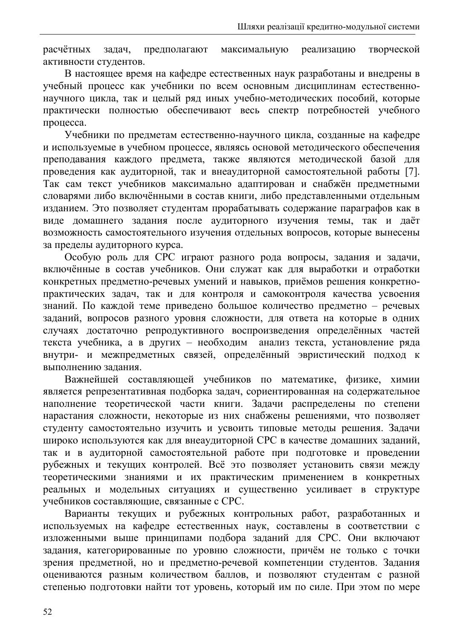творческой расчётных залач. предполагают максимальную реализацию активности студентов.

В настоящее время на кафедре естественных наук разработаны и внедрены в учебный процесс как учебники по всем основным дисциплинам естественнонаучного цикла, так и целый ряд иных учебно-методических пособий, которые практически полностью обеспечивают весь спектр потребностей учебного процесса.

Учебники по предметам естественно-научного цикла, созданные на кафедре и используемые в учебном процессе, являясь основой методического обеспечения преподавания каждого предмета, также являются методической базой для проведения как аудиторной, так и внеаудиторной самостоятельной работы [7]. Так сам текст учебников максимально адаптирован и снабжён предметными словарями либо включёнными в состав книги, либо представленными отдельным изданием. Это позволяет студентам прорабатывать содержание параграфов как в виде домашнего задания после аудиторного изучения темы, так и даёт возможность самостоятельного изучения отдельных вопросов, которые вынесены за пределы аудиторного курса.

Особую роль для СРС играют разного рода вопросы, задания и задачи, включённые в состав учебников. Они служат как для выработки и отработки конкретных предметно-речевых умений и навыков, приёмов решения конкретнопрактических задач, так и для контроля и самоконтроля качества усвоения знаний. По каждой теме приведено большое количество предметно - речевых заданий, вопросов разного уровня сложности, для ответа на которые в одних случаях достаточно репродуктивного воспроизведения определённых частей текста учебника, а в других - необходим анализ текста, установление ряда внутри- и межпредметных связей, определённый эвристический подход к выполнению задания.

Важнейшей составляющей учебников по математике, физике, химии является репрезентативная подборка задач, сориентированная на содержательное наполнение теоретической части книги. Задачи распределены по степени нарастания сложности, некоторые из них снабжены решениями, что позволяет студенту самостоятельно изучить и усвоить типовые методы решения. Задачи широко используются как для внеаудиторной СРС в качестве домашних заданий, так и в аудиторной самостоятельной работе при подготовке и проведении рубежных и текущих контролей. Всё это позволяет установить связи между теоретическими знаниями и их практическим применением в конкретных реальных и модельных ситуациях и существенно усиливает в структуре учебников составляющие, связанные с СРС.

Варианты текущих и рубежных контрольных работ, разработанных и используемых на кафедре естественных наук, составлены в соответствии с изложенными выше принципами подбора заданий для СРС. Они включают задания, категорированные по уровню сложности, причём не только с точки зрения предметной, но и предметно-речевой компетенции студентов. Задания оцениваются разным количеством баллов, и позволяют студентам с разной степенью подготовки найти тот уровень, который им по силе. При этом по мере